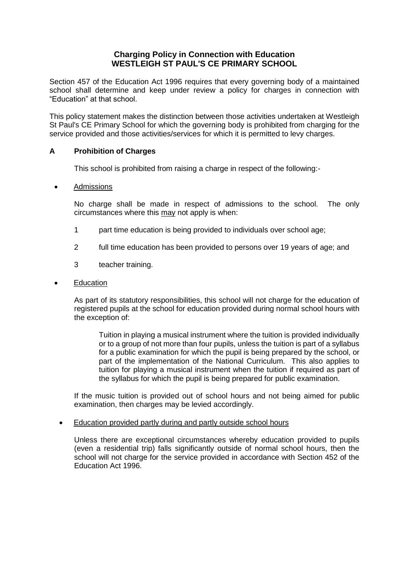# **Charging Policy in Connection with Education WESTLEIGH ST PAUL'S CE PRIMARY SCHOOL**

Section 457 of the Education Act 1996 requires that every governing body of a maintained school shall determine and keep under review a policy for charges in connection with "Education" at that school.

This policy statement makes the distinction between those activities undertaken at Westleigh St Paul's CE Primary School for which the governing body is prohibited from charging for the service provided and those activities/services for which it is permitted to levy charges.

## **A Prohibition of Charges**

This school is prohibited from raising a charge in respect of the following:-

## Admissions

No charge shall be made in respect of admissions to the school. The only circumstances where this may not apply is when:

- 1 part time education is being provided to individuals over school age;
- 2 full time education has been provided to persons over 19 years of age; and
- 3 teacher training.

### Education

As part of its statutory responsibilities, this school will not charge for the education of registered pupils at the school for education provided during normal school hours with the exception of:

Tuition in playing a musical instrument where the tuition is provided individually or to a group of not more than four pupils, unless the tuition is part of a syllabus for a public examination for which the pupil is being prepared by the school, or part of the implementation of the National Curriculum. This also applies to tuition for playing a musical instrument when the tuition if required as part of the syllabus for which the pupil is being prepared for public examination.

If the music tuition is provided out of school hours and not being aimed for public examination, then charges may be levied accordingly.

#### Education provided partly during and partly outside school hours

Unless there are exceptional circumstances whereby education provided to pupils (even a residential trip) falls significantly outside of normal school hours, then the school will not charge for the service provided in accordance with Section 452 of the Education Act 1996.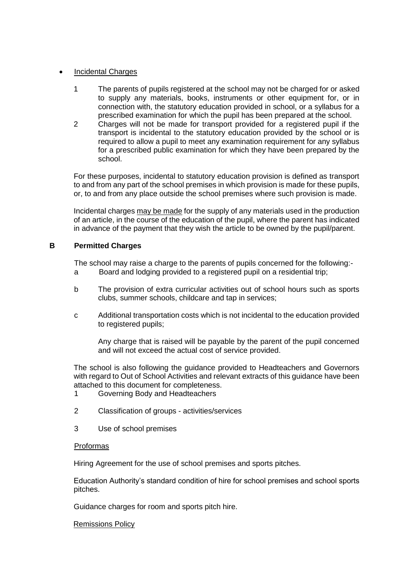## Incidental Charges

- 1 The parents of pupils registered at the school may not be charged for or asked to supply any materials, books, instruments or other equipment for, or in connection with, the statutory education provided in school, or a syllabus for a prescribed examination for which the pupil has been prepared at the school.
- 2 Charges will not be made for transport provided for a registered pupil if the transport is incidental to the statutory education provided by the school or is required to allow a pupil to meet any examination requirement for any syllabus for a prescribed public examination for which they have been prepared by the school.

For these purposes, incidental to statutory education provision is defined as transport to and from any part of the school premises in which provision is made for these pupils, or, to and from any place outside the school premises where such provision is made.

Incidental charges may be made for the supply of any materials used in the production of an article, in the course of the education of the pupil, where the parent has indicated in advance of the payment that they wish the article to be owned by the pupil/parent.

## **B Permitted Charges**

The school may raise a charge to the parents of pupils concerned for the following:-

- a Board and lodging provided to a registered pupil on a residential trip;
- b The provision of extra curricular activities out of school hours such as sports clubs, summer schools, childcare and tap in services;
- c Additional transportation costs which is not incidental to the education provided to registered pupils;

Any charge that is raised will be payable by the parent of the pupil concerned and will not exceed the actual cost of service provided.

The school is also following the guidance provided to Headteachers and Governors with regard to Out of School Activities and relevant extracts of this guidance have been attached to this document for completeness.

- 1 Governing Body and Headteachers
- 2 Classification of groups activities/services
- 3 Use of school premises

## Proformas

Hiring Agreement for the use of school premises and sports pitches.

Education Authority's standard condition of hire for school premises and school sports pitches.

Guidance charges for room and sports pitch hire.

Remissions Policy